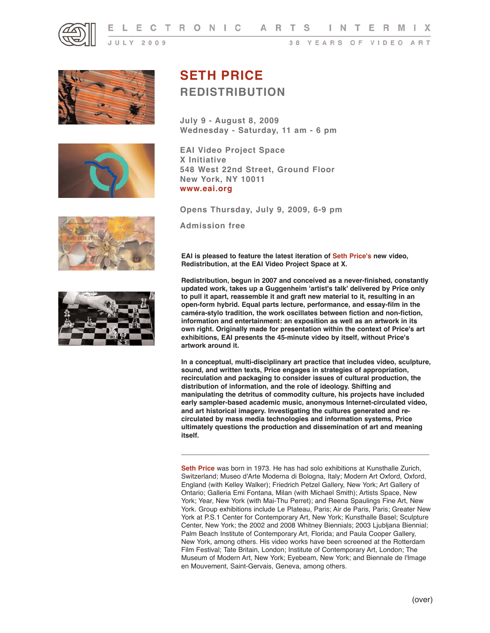

 $2009$ 







**Opens Thursday, July 9, 2009, 6-9 pm**

**Wednesday - Saturday, 11 am - 6 pm** 

**Admission free** 

**SETH PRICE**

**REDISTRIBUTION**

**July 9 - August 8, 2009**

**EAI is pleased to feature the latest iteration of Seth Price's new video, Redistribution, at the EAI Video Project Space at X.**

**Redistribution, begun in 2007 and conceived as a never-finished, constantly updated work, takes up a Guggenheim 'artist's talk' delivered by Price only to pull it apart, reassemble it and graft new material to it, resulting in an open-form hybrid. Equal parts lecture, performance, and essay-film in the caméra-stylo tradition, the work oscillates between fiction and non-fiction, information and entertainment: an exposition as well as an artwork in its own right. Originally made for presentation within the context of Price's art exhibitions, EAI presents the 45-minute video by itself, without Price's artwork around it.**

**In a conceptual, multi-disciplinary art practice that includes video, sculpture, sound, and written texts, Price engages in strategies of appropriation, recirculation and packaging to consider issues of cultural production, the distribution of information, and the role of ideology. Shifting and manipulating the detritus of commodity culture, his projects have included early sampler-based academic music, anonymous Internet-circulated video, and art historical imagery. Investigating the cultures generated and recirculated by mass media technologies and information systems, Price ultimately questions the production and dissemination of art and meaning itself.**

\_\_\_\_\_\_\_\_\_\_\_\_\_\_\_\_\_\_\_\_\_\_\_\_\_\_\_\_\_\_\_\_\_\_\_\_\_\_\_\_\_\_\_\_\_\_\_\_\_\_\_\_\_\_\_\_\_\_\_\_\_\_

**Seth Price** was born in 1973. He has had solo exhibitions at Kunsthalle Zurich, Switzerland; Museo d'Arte Moderna di Bologna, Italy; Modern Art Oxford, Oxford, England (with Kelley Walker); Friedrich Petzel Gallery, New York; Art Gallery of Ontario; Galleria Emi Fontana, Milan (with Michael Smith); Artists Space, New York; Year, New York (with Mai-Thu Perret); and Reena Spaulings Fine Art, New York. Group exhibitions include Le Plateau, Paris; Air de Paris, Paris; Greater New York at P.S.1 Center for Contemporary Art, New York; Kunsthalle Basel; Sculpture Center, New York; the 2002 and 2008 Whitney Biennials; 2003 Ljubljana Biennial; Palm Beach Institute of Contemporary Art, Florida; and Paula Cooper Gallery, New York, among others. His video works have been screened at the Rotterdam Film Festival; Tate Britain, London; Institute of Contemporary Art, London; The Museum of Modern Art, New York; Eyebeam, New York; and Biennale de l'Image en Mouvement, Saint-Gervais, Geneva, among others.